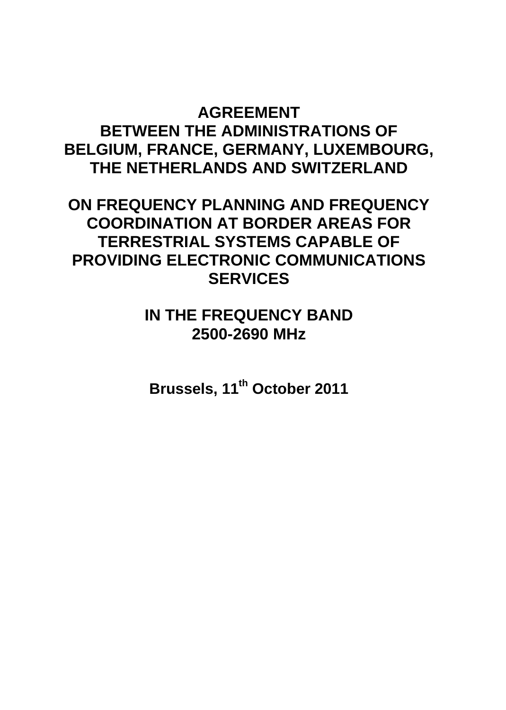# **AGREEMENT BETWEEN THE ADMINISTRATIONS OF BELGIUM, FRANCE, GERMANY, LUXEMBOURG, THE NETHERLANDS AND SWITZERLAND**

**ON FREQUENCY PLANNING AND FREQUENCY COORDINATION AT BORDER AREAS FOR TERRESTRIAL SYSTEMS CAPABLE OF PROVIDING ELECTRONIC COMMUNICATIONS SERVICES**

> **IN THE FREQUENCY BAND 2500-2690 MHz**

**Brussels, 11th October 2011**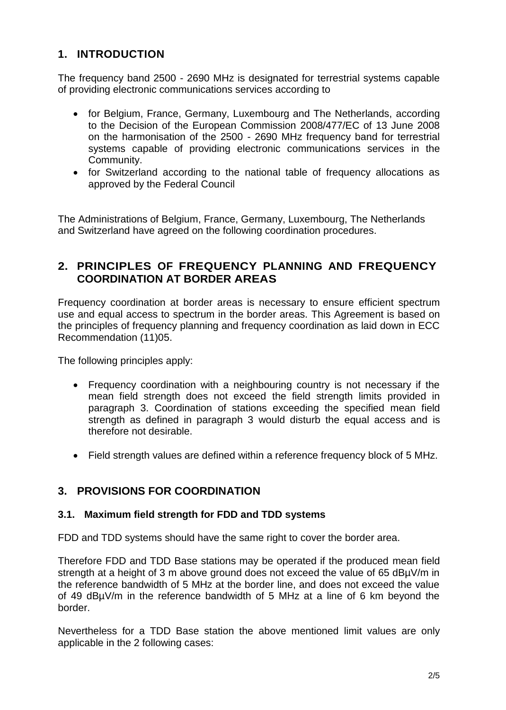## **1. INTRODUCTION**

The frequency band 2500 - 2690 MHz is designated for terrestrial systems capable of providing electronic communications services according to

- for Belgium, France, Germany, Luxembourg and The Netherlands, according to the Decision of the European Commission 2008/477/EC of 13 June 2008 on the harmonisation of the 2500 - 2690 MHz frequency band for terrestrial systems capable of providing electronic communications services in the Community.
- for Switzerland according to the national table of frequency allocations as approved by the Federal Council

The Administrations of Belgium, France, Germany, Luxembourg, The Netherlands and Switzerland have agreed on the following coordination procedures.

#### **2. PRINCIPLES OF FREQUENCY PLANNING AND FREQUENCY COORDINATION AT BORDER AREAS**

Frequency coordination at border areas is necessary to ensure efficient spectrum use and equal access to spectrum in the border areas. This Agreement is based on the principles of frequency planning and frequency coordination as laid down in ECC Recommendation (11)05.

The following principles apply:

- Frequency coordination with a neighbouring country is not necessary if the mean field strength does not exceed the field strength limits provided in paragraph 3. Coordination of stations exceeding the specified mean field strength as defined in paragraph 3 would disturb the equal access and is therefore not desirable.
- Field strength values are defined within a reference frequency block of 5 MHz.

#### **3. PROVISIONS FOR COORDINATION**

#### **3.1. Maximum field strength for FDD and TDD systems**

FDD and TDD systems should have the same right to cover the border area.

Therefore FDD and TDD Base stations may be operated if the produced mean field strength at a height of 3 m above ground does not exceed the value of 65 dBµV/m in the reference bandwidth of 5 MHz at the border line, and does not exceed the value of 49 dBµV/m in the reference bandwidth of 5 MHz at a line of 6 km beyond the border.

Nevertheless for a TDD Base station the above mentioned limit values are only applicable in the 2 following cases: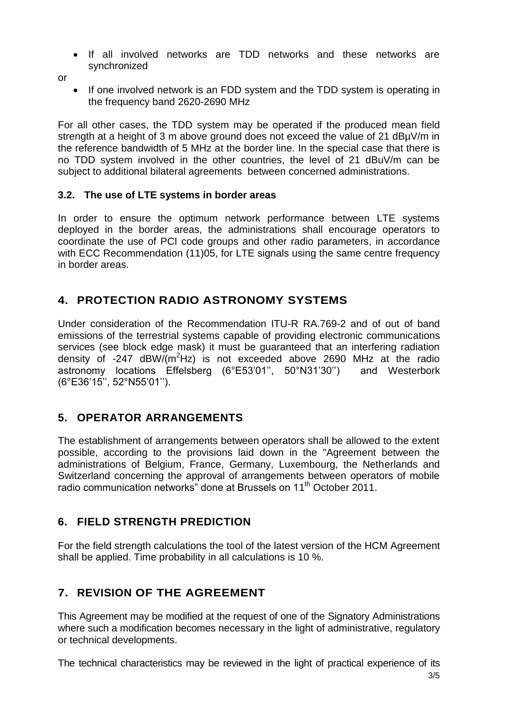- If all involved networks are TDD networks and these networks are synchronized
- or
- If one involved network is an FDD system and the TDD system is operating in the frequency band 2620-2690 MHz

For all other cases, the TDD system may be operated if the produced mean field strength at a height of 3 m above ground does not exceed the value of 21 dBµV/m in the reference bandwidth of 5 MHz at the border line. In the special case that there is no TDD system involved in the other countries, the level of 21 dBuV/m can be subject to additional bilateral agreements between concerned administrations.

#### **3.2. The use of LTE systems in border areas**

In order to ensure the optimum network performance between LTE systems deployed in the border areas, the administrations shall encourage operators to coordinate the use of PCI code groups and other radio parameters, in accordance with ECC Recommendation (11)05, for LTE signals using the same centre frequency in border areas.

## **4. PROTECTION RADIO ASTRONOMY SYSTEMS**

Under consideration of the Recommendation ITU-R RA.769-2 and of out of band emissions of the terrestrial systems capable of providing electronic communications services (see block edge mask) it must be guaranteed that an interfering radiation density of  $-247$  dBW/( $m^2$ Hz) is not exceeded above 2690 MHz at the radio astronomy locations Effelsberg (6°E53'01'', 50°N31'30'') and Westerbork (6°E36'15'', 52°N55'01'').

### **5. OPERATOR ARRANGEMENTS**

The establishment of arrangements between operators shall be allowed to the extent possible, according to the provisions laid down in the "Agreement between the administrations of Belgium, France, Germany, Luxembourg, the Netherlands and Switzerland concerning the approval of arrangements between operators of mobile radio communication networks" done at Brussels on 11<sup>th</sup> October 2011.

### **6. FIELD STRENGTH PREDICTION**

For the field strength calculations the tool of the latest version of the HCM Agreement shall be applied. Time probability in all calculations is 10 %.

# **7. REVISION OF THE AGREEMENT**

This Agreement may be modified at the request of one of the Signatory Administrations where such a modification becomes necessary in the light of administrative, regulatory or technical developments.

The technical characteristics may be reviewed in the light of practical experience of its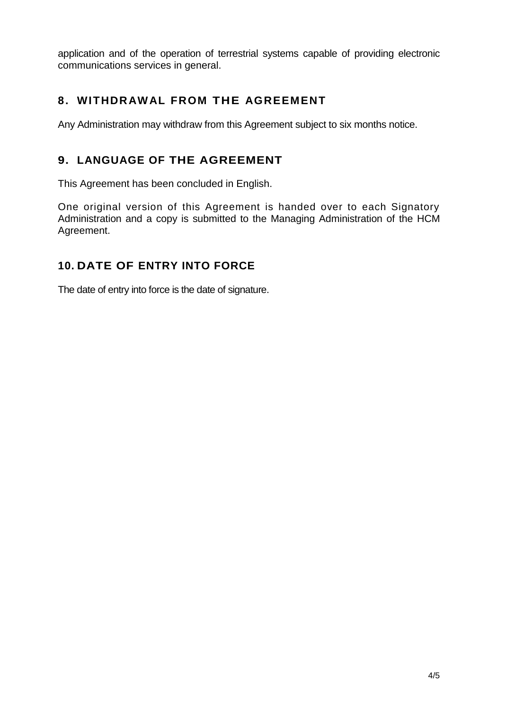application and of the operation of terrestrial systems capable of providing electronic communications services in general.

## **8. WITHDRAWAL FROM THE AGREEMENT**

Any Administration may withdraw from this Agreement subject to six months notice.

## **9. LANGUAGE OF THE AGREEMENT**

This Agreement has been concluded in English.

One original version of this Agreement is handed over to each Signatory Administration and a copy is submitted to the Managing Administration of the HCM Agreement.

# **10. DATE OF ENTRY INTO FORCE**

The date of entry into force is the date of signature.